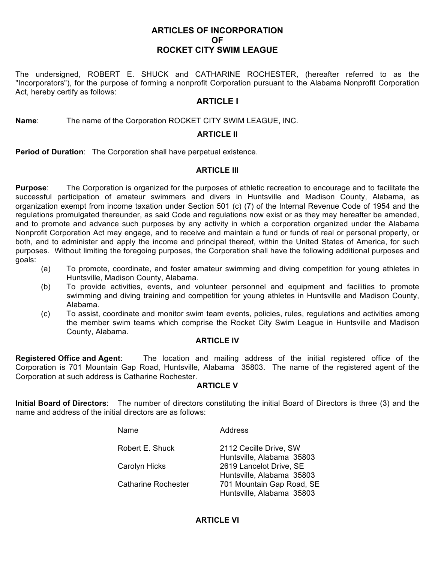## **ARTICLES OF INCORPORATION OF ROCKET CITY SWIM LEAGUE**

The undersigned, ROBERT E. SHUCK and CATHARINE ROCHESTER, (hereafter referred to as the "Incorporators"), for the purpose of forming a nonprofit Corporation pursuant to the Alabama Nonprofit Corporation Act, hereby certify as follows:

# **ARTICLE I**

**Name**: The name of the Corporation ROCKET CITY SWIM LEAGUE, INC.

## **ARTICLE II**

**Period of Duration**: The Corporation shall have perpetual existence.

## **ARTICLE III**

**Purpose**: The Corporation is organized for the purposes of athletic recreation to encourage and to facilitate the successful participation of amateur swimmers and divers in Huntsville and Madison County, Alabama, as organization exempt from income taxation under Section 501 (c) (7) of the Internal Revenue Code of 1954 and the regulations promulgated thereunder, as said Code and regulations now exist or as they may hereafter be amended, and to promote and advance such purposes by any activity in which a corporation organized under the Alabama Nonprofit Corporation Act may engage, and to receive and maintain a fund or funds of real or personal property, or both, and to administer and apply the income and principal thereof, within the United States of America, for such purposes. Without limiting the foregoing purposes, the Corporation shall have the following additional purposes and goals:

- (a) To promote, coordinate, and foster amateur swimming and diving competition for young athletes in Huntsville, Madison County, Alabama.
- (b) To provide activities, events, and volunteer personnel and equipment and facilities to promote swimming and diving training and competition for young athletes in Huntsville and Madison County, Alabama.
- (c) To assist, coordinate and monitor swim team events, policies, rules, regulations and activities among the member swim teams which comprise the Rocket City Swim League in Huntsville and Madison County, Alabama.

#### **ARTICLE IV**

**Registered Office and Agent**: The location and mailing address of the initial registered office of the Corporation is 701 Mountain Gap Road, Huntsville, Alabama 35803. The name of the registered agent of the Corporation at such address is Catharine Rochester.

#### **ARTICLE V**

**Initial Board of Directors**: The number of directors constituting the initial Board of Directors is three (3) and the name and address of the initial directors are as follows:

| Name                                        | Address                                                |
|---------------------------------------------|--------------------------------------------------------|
| Robert E. Shuck                             | 2112 Cecille Drive, SW<br>Huntsville, Alabama 35803    |
| Carolyn Hicks<br><b>Catharine Rochester</b> | 2619 Lancelot Drive, SE                                |
|                                             | Huntsville, Alabama 35803<br>701 Mountain Gap Road, SE |
|                                             | Huntsville, Alabama 35803                              |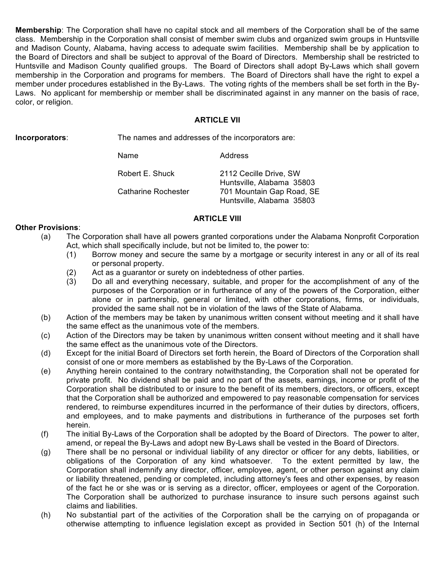**Membership**: The Corporation shall have no capital stock and all members of the Corporation shall be of the same class. Membership in the Corporation shall consist of member swim clubs and organized swim groups in Huntsville and Madison County, Alabama, having access to adequate swim facilities. Membership shall be by application to the Board of Directors and shall be subject to approval of the Board of Directors. Membership shall be restricted to Huntsville and Madison County qualified groups. The Board of Directors shall adopt By-Laws which shall govern membership in the Corporation and programs for members. The Board of Directors shall have the right to expel a member under procedures established in the By-Laws. The voting rights of the members shall be set forth in the By-Laws. No applicant for membership or member shall be discriminated against in any manner on the basis of race, color, or religion.

## **ARTICLE VII**

**Incorporators**: The names and addresses of the incorporators are:

Name Address

| Robert E. Shuck     | 2112 Cecille Drive, SW    |
|---------------------|---------------------------|
|                     | Huntsville, Alabama 35803 |
| Catharine Rochester | 701 Mountain Gap Road, SE |
|                     | Huntsville, Alabama 35803 |

## **ARTICLE VIII**

## **Other Provisions**:

- (a) The Corporation shall have all powers granted corporations under the Alabama Nonprofit Corporation Act, which shall specifically include, but not be limited to, the power to:
	- (1) Borrow money and secure the same by a mortgage or security interest in any or all of its real or personal property.
	- (2) Act as a guarantor or surety on indebtedness of other parties.
	- (3) Do all and everything necessary, suitable, and proper for the accomplishment of any of the purposes of the Corporation or in furtherance of any of the powers of the Corporation, either alone or in partnership, general or limited, with other corporations, firms, or individuals, provided the same shall not be in violation of the laws of the State of Alabama.
- (b) Action of the members may be taken by unanimous written consent without meeting and it shall have the same effect as the unanimous vote of the members.
- (c) Action of the Directors may be taken by unanimous written consent without meeting and it shall have the same effect as the unanimous vote of the Directors.
- (d) Except for the initial Board of Directors set forth herein, the Board of Directors of the Corporation shall consist of one or more members as established by the By-Laws of the Corporation.
- (e) Anything herein contained to the contrary notwithstanding, the Corporation shall not be operated for private profit. No dividend shall be paid and no part of the assets, earnings, income or profit of the Corporation shall be distributed to or insure to the benefit of its members, directors, or officers, except that the Corporation shall be authorized and empowered to pay reasonable compensation for services rendered, to reimburse expenditures incurred in the performance of their duties by directors, officers, and employees, and to make payments and distributions in furtherance of the purposes set forth herein.
- (f) The initial By-Laws of the Corporation shall be adopted by the Board of Directors. The power to alter, amend, or repeal the By-Laws and adopt new By-Laws shall be vested in the Board of Directors.
- (g) There shall be no personal or individual liability of any director or officer for any debts, liabilities, or obligations of the Corporation of any kind whatsoever. To the extent permitted by law, the Corporation shall indemnify any director, officer, employee, agent, or other person against any claim or liability threatened, pending or completed, including attorney's fees and other expenses, by reason of the fact he or she was or is serving as a director, officer, employees or agent of the Corporation. The Corporation shall be authorized to purchase insurance to insure such persons against such claims and liabilities.
- (h) No substantial part of the activities of the Corporation shall be the carrying on of propaganda or otherwise attempting to influence legislation except as provided in Section 501 (h) of the Internal